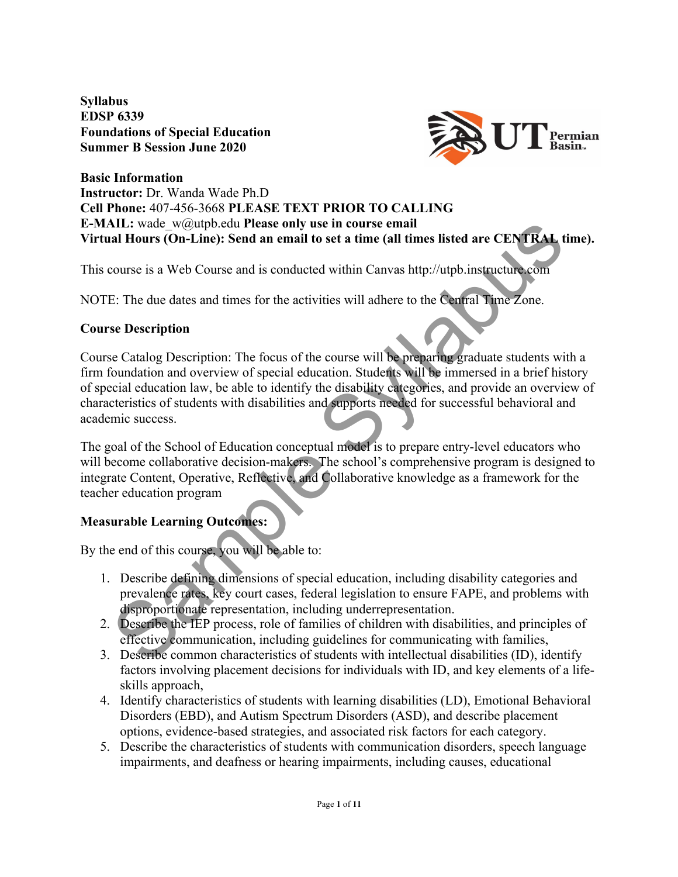**Syllabus EDSP 6339 Foundations of Special Education Summer B Session June 2020**



#### **Basic Information Instructor:** Dr. Wanda Wade Ph.D **Cell Phone:** 407-456-3668 **PLEASE TEXT PRIOR TO CALLING E-MAIL:** wade\_w@utpb.edu **Please only use in course email Virtual Hours (On-Line): Send an email to set a time (all times listed are CENTRAL time).**

This course is a Web Course and is conducted within Canvas http://utpb.instructure.com

NOTE: The due dates and times for the activities will adhere to the Central Time Zone.

# **Course Description**

**All :** wade wegutpb.edu Please only use in course email<br>
all Hours (On-Line): Send an email to set a time (all times listed are CENTRAL time<br>
course is a Web Course and is conducted within Canvas http://utpb.instructure. Course Catalog Description: The focus of the course will be preparing graduate students with a firm foundation and overview of special education. Students will be immersed in a brief history of special education law, be able to identify the disability categories, and provide an overview of characteristics of students with disabilities and supports needed for successful behavioral and academic success.

The goal of the School of Education conceptual model is to prepare entry-level educators who will become collaborative decision-makers. The school's comprehensive program is designed to integrate Content, Operative, Reflective, and Collaborative knowledge as a framework for the teacher education program

# **Measurable Learning Outcomes:**

By the end of this course, you will be able to:

- 1. Describe defining dimensions of special education, including disability categories and prevalence rates, key court cases, federal legislation to ensure FAPE, and problems with disproportionate representation, including underrepresentation.
- 2. Describe the IEP process, role of families of children with disabilities, and principles of effective communication, including guidelines for communicating with families,
- 3. Describe common characteristics of students with intellectual disabilities (ID), identify factors involving placement decisions for individuals with ID, and key elements of a lifeskills approach,
- 4. Identify characteristics of students with learning disabilities (LD), Emotional Behavioral Disorders (EBD), and Autism Spectrum Disorders (ASD), and describe placement options, evidence-based strategies, and associated risk factors for each category.
- 5. Describe the characteristics of students with communication disorders, speech language impairments, and deafness or hearing impairments, including causes, educational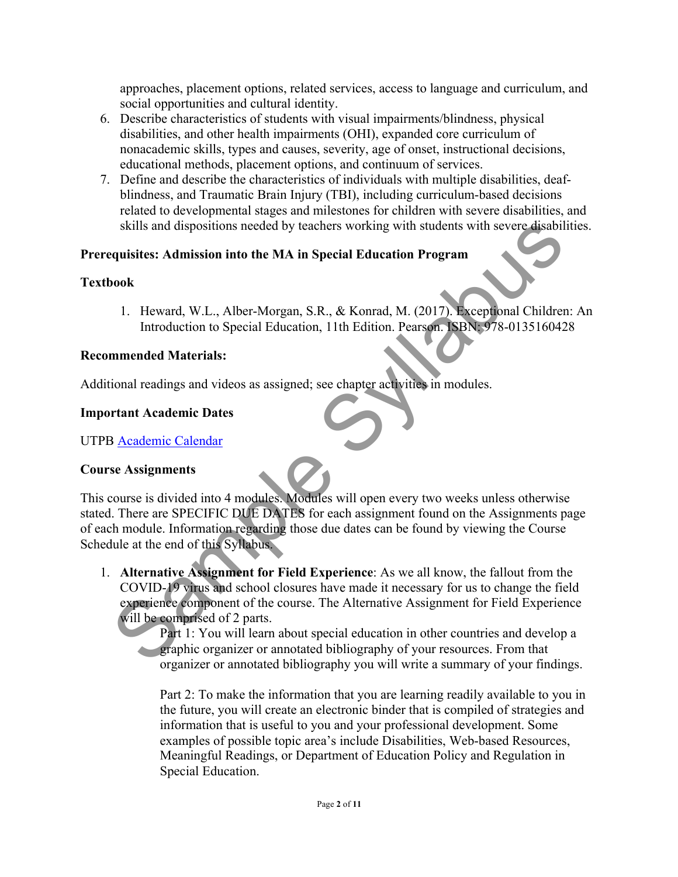approaches, placement options, related services, access to language and curriculum, and social opportunities and cultural identity.

- 6. Describe characteristics of students with visual impairments/blindness, physical disabilities, and other health impairments (OHI), expanded core curriculum of nonacademic skills, types and causes, severity, age of onset, instructional decisions, educational methods, placement options, and continuum of services.
- 7. Define and describe the characteristics of individuals with multiple disabilities, deafblindness, and Traumatic Brain Injury (TBI), including curriculum-based decisions related to developmental stages and milestones for children with severe disabilities, and skills and dispositions needed by teachers working with students with severe disabilities.

### **Prerequisites: Admission into the MA in Special Education Program**

### **Textbook**

1. Heward, W.L., Alber-Morgan, S.R., & Konrad, M. (2017). Exceptional Children: An Introduction to Special Education, 11th Edition. Pearson. ISBN: 978-0135160428

### **Recommended Materials:**

Additional readings and videos as assigned; see chapter activities in modules.

#### **Important Academic Dates**

UTPB Academic Calendar

### **Course Assignments**

Skills and dispositions needed by teachers working with students with severe disabilities<br>
equisites: Admission into the MA in Special Education Program<br>
Nook<br>
1. Heward, W.L., Alber-Morgan, S.R., & Konrad, M. (2017). Exce This course is divided into 4 modules. Modules will open every two weeks unless otherwise stated. There are SPECIFIC DUE DATES for each assignment found on the Assignments page of each module. Information regarding those due dates can be found by viewing the Course Schedule at the end of this Syllabus.

1. **Alternative Assignment for Field Experience**: As we all know, the fallout from the COVID-19 virus and school closures have made it necessary for us to change the field experience component of the course. The Alternative Assignment for Field Experience will be comprised of 2 parts.

Part 1: You will learn about special education in other countries and develop a **Example 2** organizer or annotated bibliography of your resources. From that organizer or annotated bibliography you will write a summary of your findings.

Part 2: To make the information that you are learning readily available to you in the future, you will create an electronic binder that is compiled of strategies and information that is useful to you and your professional development. Some examples of possible topic area's include Disabilities, Web-based Resources, Meaningful Readings, or Department of Education Policy and Regulation in Special Education.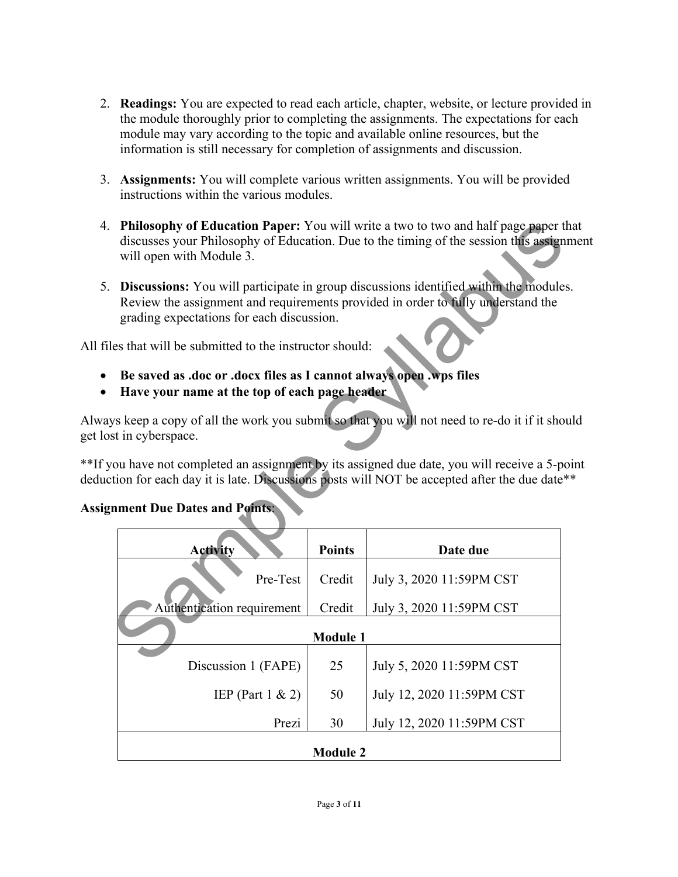- 2. **Readings:** You are expected to read each article, chapter, website, or lecture provided in the module thoroughly prior to completing the assignments. The expectations for each module may vary according to the topic and available online resources, but the information is still necessary for completion of assignments and discussion.
- 3. **Assignments:** You will complete various written assignments. You will be provided instructions within the various modules.
- 4. **Philosophy of Education Paper:** You will write a two to two and half page paper that discusses your Philosophy of Education. Due to the timing of the session this assignment will open with Module 3.
- 5. **Discussions:** You will participate in group discussions identified within the modules. Review the assignment and requirements provided in order to fully understand the grading expectations for each discussion.

All files that will be submitted to the instructor should:

- **Be saved as .doc or .docx files as I cannot always open .wps files**
- **Have your name at the top of each page header**

Always keep a copy of all the work you submit so that you will not need to re-do it if it should get lost in cyberspace.

\*\*If you have not completed an assignment by its assigned due date, you will receive a 5-point deduction for each day it is late. Discussions posts will NOT be accepted after the due date\*\*

| <b>Philosophy of Education Paper:</b> You will write a two to two and half page paper that<br>discusses your Philosophy of Education. Due to the timing of the session this assignment                                        |                 |                                                                                              |  |  |  |  |
|-------------------------------------------------------------------------------------------------------------------------------------------------------------------------------------------------------------------------------|-----------------|----------------------------------------------------------------------------------------------|--|--|--|--|
| will open with Module 3.                                                                                                                                                                                                      |                 |                                                                                              |  |  |  |  |
| <b>Discussions:</b> You will participate in group discussions identified within the modules.<br>Review the assignment and requirements provided in order to fully understand the<br>grading expectations for each discussion. |                 |                                                                                              |  |  |  |  |
| les that will be submitted to the instructor should:                                                                                                                                                                          |                 |                                                                                              |  |  |  |  |
| Be saved as .doc or .docx files as I cannot always open .wps files<br>Have your name at the top of each page header                                                                                                           |                 |                                                                                              |  |  |  |  |
| st in cyberspace.                                                                                                                                                                                                             |                 | ys keep a copy of all the work you submit so that you will not need to re-do it if it should |  |  |  |  |
| ou have not completed an assignment by its assigned due date, you will receive a 5-poin<br>ttion for each day it is late. Discussions posts will NOT be accepted after the due date**                                         |                 |                                                                                              |  |  |  |  |
| nment Due Dates and Points:                                                                                                                                                                                                   |                 |                                                                                              |  |  |  |  |
| <b>Activity</b>                                                                                                                                                                                                               | <b>Points</b>   | Date due                                                                                     |  |  |  |  |
| Pre-Test                                                                                                                                                                                                                      | Credit          | July 3, 2020 11:59PM CST                                                                     |  |  |  |  |
| Authentication requirement                                                                                                                                                                                                    | Credit          | July 3, 2020 11:59PM CST                                                                     |  |  |  |  |
| <b>Module 1</b>                                                                                                                                                                                                               |                 |                                                                                              |  |  |  |  |
| Discussion 1 (FAPE)                                                                                                                                                                                                           | 25              | July 5, 2020 11:59PM CST                                                                     |  |  |  |  |
| IEP (Part $1 \& 2$ )                                                                                                                                                                                                          | 50              | July 12, 2020 11:59PM CST                                                                    |  |  |  |  |
| Prezi                                                                                                                                                                                                                         | 30              | July 12, 2020 11:59PM CST                                                                    |  |  |  |  |
|                                                                                                                                                                                                                               | <b>Module 2</b> |                                                                                              |  |  |  |  |

# **Assignment Due Dates and Points**: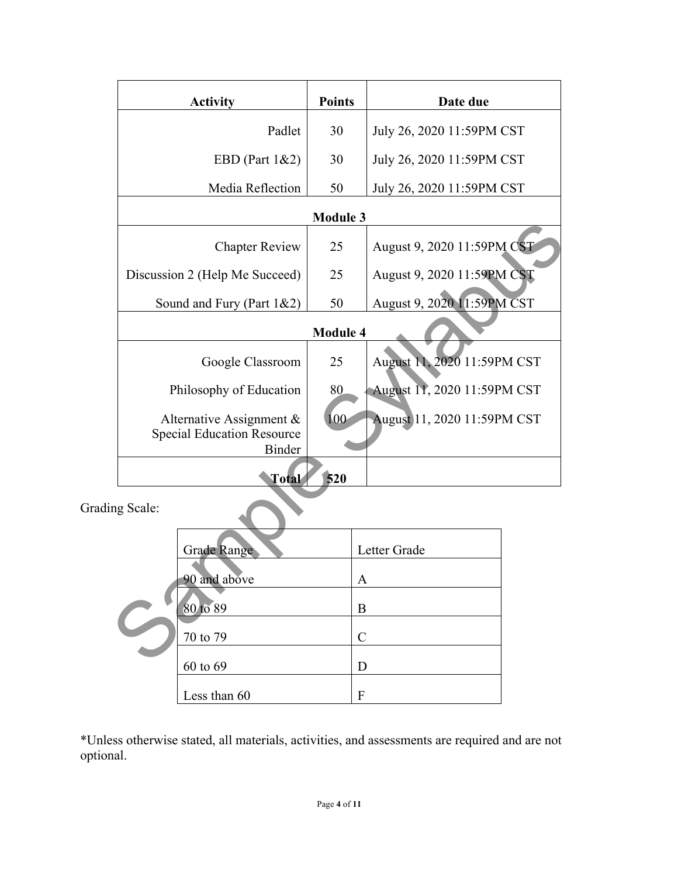|                                                                                | <b>Activity</b>                | <b>Points</b>                     | Date due                    |  |  |
|--------------------------------------------------------------------------------|--------------------------------|-----------------------------------|-----------------------------|--|--|
|                                                                                | Padlet                         | 30                                | July 26, 2020 11:59PM CST   |  |  |
|                                                                                | EBD (Part 1&2)                 | 30                                | July 26, 2020 11:59PM CST   |  |  |
|                                                                                | Media Reflection               | 50                                | July 26, 2020 11:59PM CST   |  |  |
| <b>Module 3</b>                                                                |                                |                                   |                             |  |  |
| <b>Chapter Review</b>                                                          |                                | 25                                | August 9, 2020 11:59PM CST  |  |  |
|                                                                                | Discussion 2 (Help Me Succeed) | 25                                | August 9, 2020 11:59PM CST  |  |  |
|                                                                                | Sound and Fury (Part 1&2)      | August 9, 2020 11:59PM CST<br>50  |                             |  |  |
| <b>Module 4</b>                                                                |                                |                                   |                             |  |  |
|                                                                                | Google Classroom               | August 11, 2020 11:59PM CST<br>25 |                             |  |  |
|                                                                                | Philosophy of Education        | 80                                | August 11, 2020 11:59PM CST |  |  |
| Alternative Assignment &<br><b>Special Education Resource</b><br><b>Binder</b> |                                | 100                               | August 11, 2020 11:59PM CST |  |  |
|                                                                                | Total                          | 520                               |                             |  |  |
| ng Scale:                                                                      |                                |                                   |                             |  |  |
|                                                                                | <b>Grade Range</b>             |                                   | Letter Grade                |  |  |
|                                                                                | 90 and above<br>$\mathbf{A}$   |                                   |                             |  |  |
| 80 to 89<br>70 to 79<br>$\Omega$ . $\Omega$                                    |                                | B                                 |                             |  |  |
|                                                                                |                                | $\mathcal{C}$                     |                             |  |  |
|                                                                                |                                |                                   |                             |  |  |

Grading Scale:

| <b>Grade Range</b> | Letter Grade  |
|--------------------|---------------|
| 90 and above       | A             |
| 80 to 89           | B             |
| 70 to 79           | $\mathcal{C}$ |
| 60 to 69           | D             |
| Less than 60       | F             |

\*Unless otherwise stated, all materials, activities, and assessments are required and are not optional.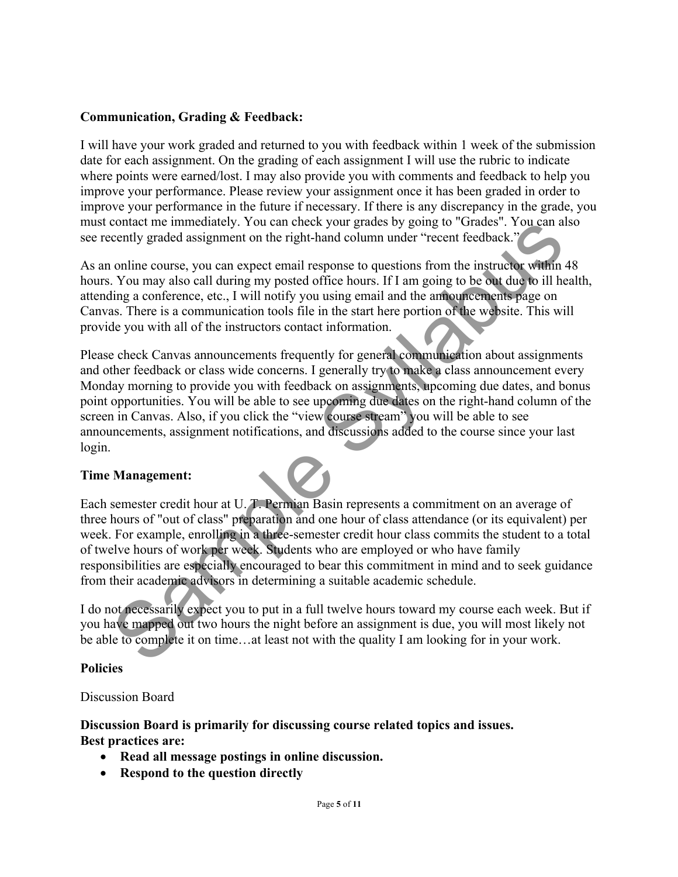### **Communication, Grading & Feedback:**

I will have your work graded and returned to you with feedback within 1 week of the submission date for each assignment. On the grading of each assignment I will use the rubric to indicate where points were earned/lost. I may also provide you with comments and feedback to help you improve your performance. Please review your assignment once it has been graded in order to improve your performance in the future if necessary. If there is any discrepancy in the grade, you must contact me immediately. You can check your grades by going to "Grades". You can also see recently graded assignment on the right-hand column under "recent feedback."

As an online course, you can expect email response to questions from the instructor within 48 hours. You may also call during my posted office hours. If I am going to be out due to ill health, attending a conference, etc., I will notify you using email and the announcements page on Canvas. There is a communication tools file in the start here portion of the website. This will provide you with all of the instructors contact information.

contact me immediately. You can check your grades by going to 'Grades'. You can<br>cently graded assignment on the right-hand column under "recent freedback."<br>
You may also call during my posted office hours. If I am going to Please check Canvas announcements frequently for general communication about assignments and other feedback or class wide concerns. I generally try to make a class announcement every Monday morning to provide you with feedback on assignments, upcoming due dates, and bonus point opportunities. You will be able to see upcoming due dates on the right-hand column of the screen in Canvas. Also, if you click the "view course stream" you will be able to see announcements, assignment notifications, and discussions added to the course since your last login.

# **Time Management:**

Each semester credit hour at U. T. Permian Basin represents a commitment on an average of three hours of "out of class" preparation and one hour of class attendance (or its equivalent) per week. For example, enrolling in a three-semester credit hour class commits the student to a total of twelve hours of work per week. Students who are employed or who have family responsibilities are especially encouraged to bear this commitment in mind and to seek guidance from their academic advisors in determining a suitable academic schedule.

I do not necessarily expect you to put in a full twelve hours toward my course each week. But if you have mapped out two hours the night before an assignment is due, you will most likely not be able to complete it on time…at least not with the quality I am looking for in your work.

### **Policies**

### Discussion Board

### **Discussion Board is primarily for discussing course related topics and issues. Best practices are:**

- **Read all message postings in online discussion.**
- **Respond to the question directly**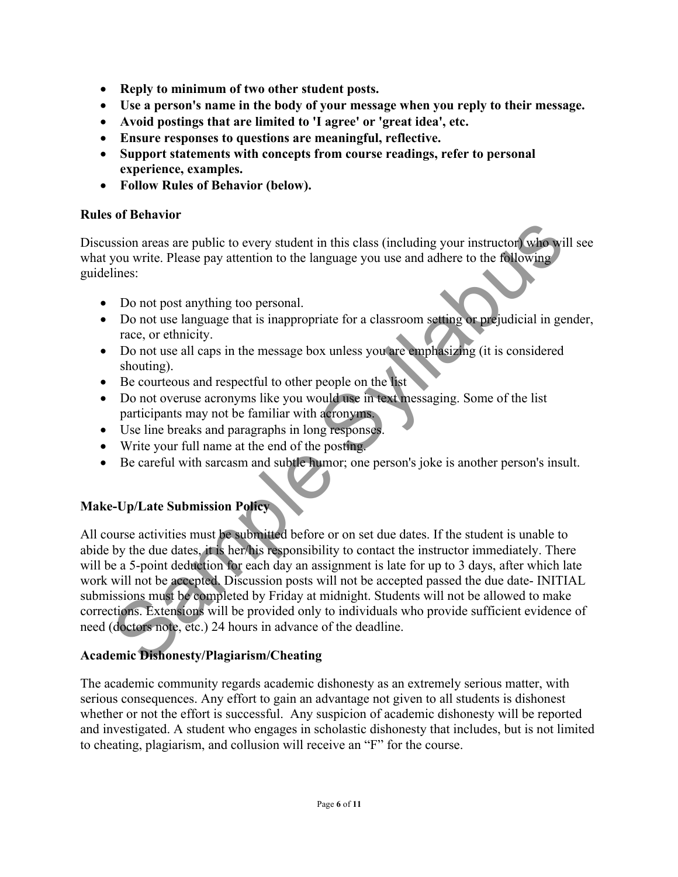- **Reply to minimum of two other student posts.**
- **Use a person's name in the body of your message when you reply to their message.**
- **Avoid postings that are limited to 'I agree' or 'great idea', etc.**
- **Ensure responses to questions are meaningful, reflective.**
- **Support statements with concepts from course readings, refer to personal experience, examples.**
- **Follow Rules of Behavior (below).**

### **Rules of Behavior**

Discussion areas are public to every student in this class (including your instructor) who will see what you write. Please pay attention to the language you use and adhere to the following guidelines:

- Do not post anything too personal.
- Do not use language that is inappropriate for a classroom setting or prejudicial in gender, race, or ethnicity.
- Do not use all caps in the message box unless you are emphasizing (it is considered shouting).
- Be courteous and respectful to other people on the list
- Do not overuse acronyms like you would use in text messaging. Some of the list participants may not be familiar with acronyms.
- Use line breaks and paragraphs in long responses.
- Write your full name at the end of the posting.
- Be careful with sarcasm and subtle humor; one person's joke is another person's insult.

# **Make-Up/Late Submission Policy**

Sample The Syllabustary and the syllabustary and the searched method with the syllabor of the syllabor only a method with the syllabor on the syllabor on the syllabor on the syllabustary of the syllabor on the syllabustary All course activities must be submitted before or on set due dates. If the student is unable to abide by the due dates, it is her/his responsibility to contact the instructor immediately. There will be a 5-point deduction for each day an assignment is late for up to 3 days, after which late work will not be accepted. Discussion posts will not be accepted passed the due date- INITIAL submissions must be completed by Friday at midnight. Students will not be allowed to make corrections. Extensions will be provided only to individuals who provide sufficient evidence of need (doctors note, etc.) 24 hours in advance of the deadline.

# **Academic Dishonesty/Plagiarism/Cheating**

The academic community regards academic dishonesty as an extremely serious matter, with serious consequences. Any effort to gain an advantage not given to all students is dishonest whether or not the effort is successful. Any suspicion of academic dishonesty will be reported and investigated. A student who engages in scholastic dishonesty that includes, but is not limited to cheating, plagiarism, and collusion will receive an "F" for the course.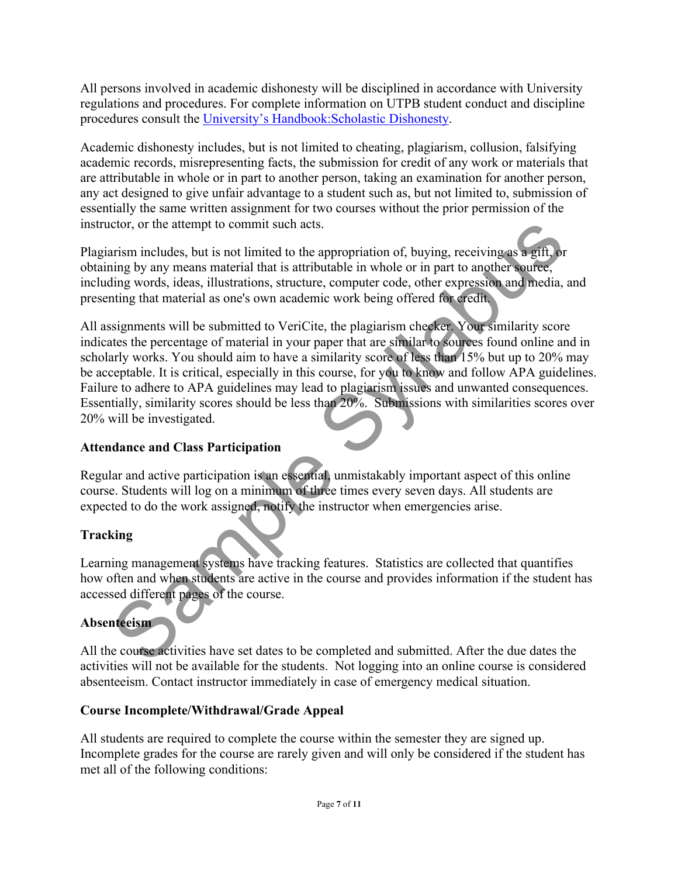All persons involved in academic dishonesty will be disciplined in accordance with University regulations and procedures. For complete information on UTPB student conduct and discipline procedures consult the University's Handbook:Scholastic Dishonesty.

Academic dishonesty includes, but is not limited to cheating, plagiarism, collusion, falsifying academic records, misrepresenting facts, the submission for credit of any work or materials that are attributable in whole or in part to another person, taking an examination for another person, any act designed to give unfair advantage to a student such as, but not limited to, submission of essentially the same written assignment for two courses without the prior permission of the instructor, or the attempt to commit such acts.

Plagiarism includes, but is not limited to the appropriation of, buying, receiving as a gift, or obtaining by any means material that is attributable in whole or in part to another source, including words, ideas, illustrations, structure, computer code, other expression and media, and presenting that material as one's own academic work being offered for credit.

ctor, or the attempt to commit such acts.<br>
The mism includes, but is not limited to the appropriation of, buying, receiving as a gift, or<br>
ning by any means material that is attributed in whole or in part to another surfee All assignments will be submitted to VeriCite, the plagiarism checker. Your similarity score indicates the percentage of material in your paper that are similar to sources found online and in scholarly works. You should aim to have a similarity score of less than 15% but up to 20% may be acceptable. It is critical, especially in this course, for you to know and follow APA guidelines. Failure to adhere to APA guidelines may lead to plagiarism issues and unwanted consequences. Essentially, similarity scores should be less than 20%. Submissions with similarities scores over 20% will be investigated.

# **Attendance and Class Participation**

Regular and active participation is an essential, unmistakably important aspect of this online course. Students will log on a minimum of three times every seven days. All students are expected to do the work assigned, notify the instructor when emergencies arise.

# **Tracking**

Learning management systems have tracking features. Statistics are collected that quantifies how often and when students are active in the course and provides information if the student has accessed different pages of the course.

# **Absenteeism**

All the course activities have set dates to be completed and submitted. After the due dates the activities will not be available for the students. Not logging into an online course is considered absenteeism. Contact instructor immediately in case of emergency medical situation.

# **Course Incomplete/Withdrawal/Grade Appeal**

All students are required to complete the course within the semester they are signed up. Incomplete grades for the course are rarely given and will only be considered if the student has met all of the following conditions: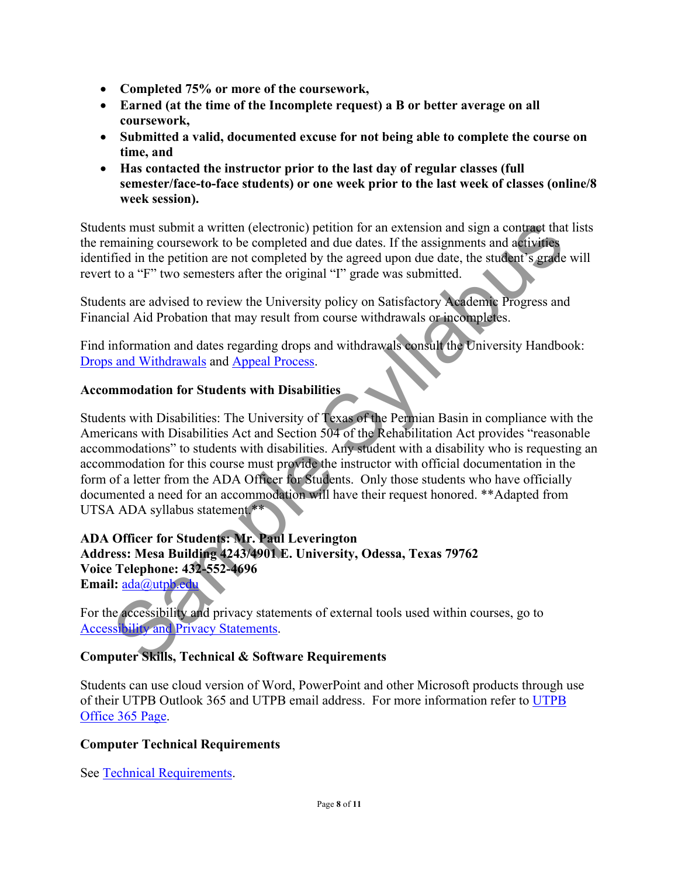- **Completed 75% or more of the coursework,**
- **Earned (at the time of the Incomplete request) a B or better average on all coursework,**
- **Submitted a valid, documented excuse for not being able to complete the course on time, and**
- **Has contacted the instructor prior to the last day of regular classes (full semester/face-to-face students) or one week prior to the last week of classes (online/8 week session).**

Students must submit a written (electronic) petition for an extension and sign a contract that lists the remaining coursework to be completed and due dates. If the assignments and activities identified in the petition are not completed by the agreed upon due date, the student's grade will revert to a "F" two semesters after the original "I" grade was submitted.

Students are advised to review the University policy on Satisfactory Academic Progress and Financial Aid Probation that may result from course withdrawals or incompletes.

Find information and dates regarding drops and withdrawals consult the University Handbook: Drops and Withdrawals and Appeal Process.

# **Accommodation for Students with Disabilities**

nts must submit a written (electronic) petition for an extension and sign a contrage that limit<br>maining convexent to be completed and due dates. If the assignments and a<br>single in the petition are not completed by the agre Students with Disabilities: The University of Texas of the Permian Basin in compliance with the Americans with Disabilities Act and Section 504 of the Rehabilitation Act provides "reasonable accommodations" to students with disabilities. Any student with a disability who is requesting an accommodation for this course must provide the instructor with official documentation in the form of a letter from the ADA Officer for Students. Only those students who have officially documented a need for an accommodation will have their request honored. \*\*Adapted from UTSA ADA syllabus statement.\*\*

# **ADA Officer for Students: Mr. Paul Leverington Address: Mesa Building 4243/4901 E. University, Odessa, Texas 79762 Voice Telephone: 432-552-4696**

**Email:** ada@utpb.edu

For the accessibility and privacy statements of external tools used within courses, go to Accessibility and Privacy Statements.

# **Computer Skills, Technical & Software Requirements**

Students can use cloud version of Word, PowerPoint and other Microsoft products through use of their UTPB Outlook 365 and UTPB email address. For more information refer to UTPB Office 365 Page.

# **Computer Technical Requirements**

See Technical Requirements.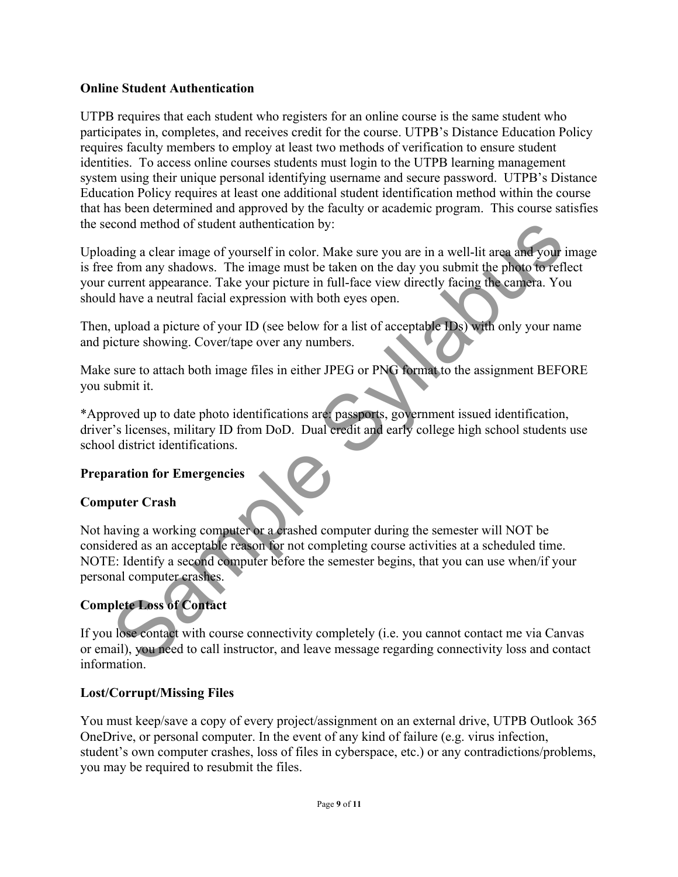### **Online Student Authentication**

UTPB requires that each student who registers for an online course is the same student who participates in, completes, and receives credit for the course. UTPB's Distance Education Policy requires faculty members to employ at least two methods of verification to ensure student identities. To access online courses students must login to the UTPB learning management system using their unique personal identifying username and secure password. UTPB's Distance Education Policy requires at least one additional student identification method within the course that has been determined and approved by the faculty or academic program. This course satisfies the second method of student authentication by:

cond method of student authentication by:<br>
siding a clear image of yourself in color. Make sure you are in a well-lit area and your in<br>
from any shadows. The image must be taken on the day you submit the photo to reflect<br> Uploading a clear image of yourself in color. Make sure you are in a well-lit area and your image is free from any shadows. The image must be taken on the day you submit the photo to reflect your current appearance. Take your picture in full-face view directly facing the camera. You should have a neutral facial expression with both eyes open.

Then, upload a picture of your ID (see below for a list of acceptable IDs) with only your name and picture showing. Cover/tape over any numbers.

Make sure to attach both image files in either JPEG or PNG format to the assignment BEFORE you submit it.

\*Approved up to date photo identifications are: passports, government issued identification, driver's licenses, military ID from DoD. Dual credit and early college high school students use school district identifications.

# **Preparation for Emergencies**

# **Computer Crash**

Not having a working computer or a crashed computer during the semester will NOT be considered as an acceptable reason for not completing course activities at a scheduled time. NOTE: Identify a second computer before the semester begins, that you can use when/if your personal computer crashes.

# **Complete Loss of Contact**

If you lose contact with course connectivity completely (i.e. you cannot contact me via Canvas or email), you need to call instructor, and leave message regarding connectivity loss and contact information.

### **Lost/Corrupt/Missing Files**

You must keep/save a copy of every project/assignment on an external drive, UTPB Outlook 365 OneDrive, or personal computer. In the event of any kind of failure (e.g. virus infection, student's own computer crashes, loss of files in cyberspace, etc.) or any contradictions/problems, you may be required to resubmit the files.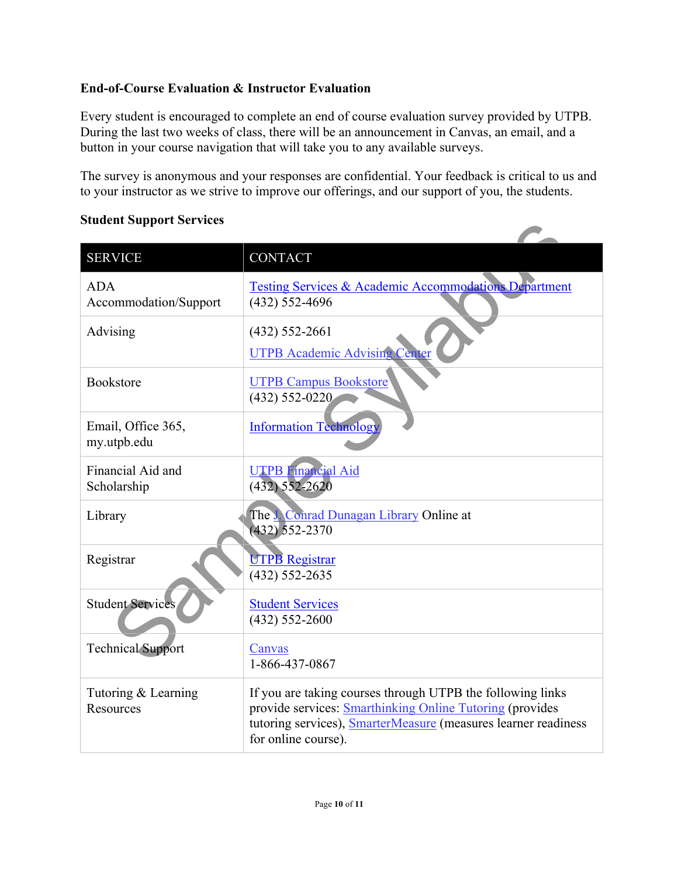# **End-of-Course Evaluation & Instructor Evaluation**

Every student is encouraged to complete an end of course evaluation survey provided by UTPB. During the last two weeks of class, there will be an announcement in Canvas, an email, and a button in your course navigation that will take you to any available surveys.

The survey is anonymous and your responses are confidential. Your feedback is critical to us and to your instructor as we strive to improve our offerings, and our support of you, the students.

#### **Student Support Services**

| praaent pupport per vices           |                                                                                                                                                                                                                        |
|-------------------------------------|------------------------------------------------------------------------------------------------------------------------------------------------------------------------------------------------------------------------|
| <b>SERVICE</b>                      | <b>CONTACT</b>                                                                                                                                                                                                         |
| <b>ADA</b><br>Accommodation/Support | Testing Services & Academic Accommodations Department<br>$(432) 552 - 4696$                                                                                                                                            |
| Advising                            | $(432)$ 552-2661<br><b>UTPB Academic Advising Center</b>                                                                                                                                                               |
| <b>Bookstore</b>                    | <b>UTPB Campus Bookstore</b><br>$(432) 552 - 0220$                                                                                                                                                                     |
| Email, Office 365,<br>my.utpb.edu   | <b>Information Technology</b>                                                                                                                                                                                          |
| Financial Aid and<br>Scholarship    | <b>UTPB Financial Aid</b><br>$(432) 552 - 2620$                                                                                                                                                                        |
| Library                             | The Conrad Dunagan Library Online at<br>$(432) 552 - 2370$                                                                                                                                                             |
| Registrar                           | <b>UTPB Registrar</b><br>$(432) 552 - 2635$                                                                                                                                                                            |
| <b>Student Services</b>             | <b>Student Services</b><br>$(432) 552 - 2600$                                                                                                                                                                          |
| <b>Technical Support</b>            | Canvas<br>1-866-437-0867                                                                                                                                                                                               |
| Tutoring & Learning<br>Resources    | If you are taking courses through UTPB the following links<br>provide services: Smarthinking Online Tutoring (provides<br>tutoring services), <b>SmarterMeasure</b> (measures learner readiness<br>for online course). |